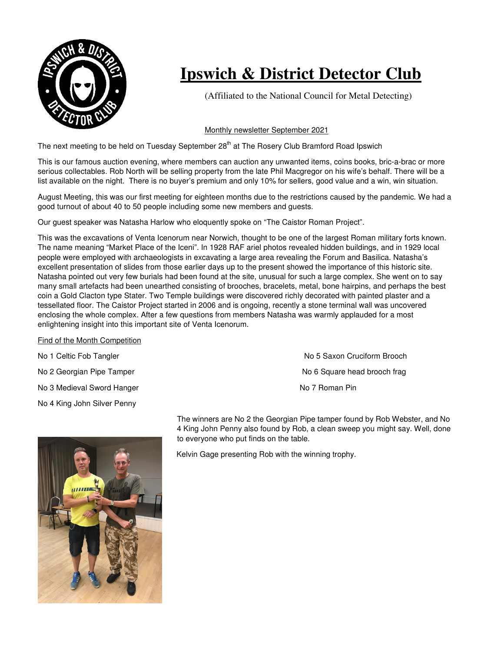

## **Ipswich & District Detector Club**

(Affiliated to the National Council for Metal Detecting)

## Monthly newsletter September 2021

The next meeting to be held on Tuesday September 28<sup>th</sup> at The Rosery Club Bramford Road Ipswich

This is our famous auction evening, where members can auction any unwanted items, coins books, bric-a-brac or more serious collectables. Rob North will be selling property from the late Phil Macgregor on his wife's behalf. There will be a list available on the night. There is no buyer's premium and only 10% for sellers, good value and a win, win situation.

August Meeting, this was our first meeting for eighteen months due to the restrictions caused by the pandemic. We had a good turnout of about 40 to 50 people including some new members and guests.

Our guest speaker was Natasha Harlow who eloquently spoke on "The Caistor Roman Project".

This was the excavations of Venta Icenorum near Norwich, thought to be one of the largest Roman military forts known. The name meaning "Market Place of the Iceni". In 1928 RAF ariel photos revealed hidden buildings, and in 1929 local people were employed with archaeologists in excavating a large area revealing the Forum and Basilica. Natasha's excellent presentation of slides from those earlier days up to the present showed the importance of this historic site. Natasha pointed out very few burials had been found at the site, unusual for such a large complex. She went on to say many small artefacts had been unearthed consisting of brooches, bracelets, metal, bone hairpins, and perhaps the best coin a Gold Clacton type Stater. Two Temple buildings were discovered richly decorated with painted plaster and a tessellated floor. The Caistor Project started in 2006 and is ongoing, recently a stone terminal wall was uncovered enclosing the whole complex. After a few questions from members Natasha was warmly applauded for a most enlightening insight into this important site of Venta Icenorum.

## Find of the Month Competition

| No 1 Celtic Fob Tangler     |  |
|-----------------------------|--|
| No 2 Georgian Pipe Tamper   |  |
| No 3 Medieval Sword Hanger  |  |
| No 4 King John Silver Penny |  |

No 5 Saxon Cruciform Brooch No 6 Square head brooch frag No 7 Roman Pin

The winners are No 2 the Georgian Pipe tamper found by Rob Webster, and No 4 King John Penny also found by Rob, a clean sweep you might say. Well, done to everyone who put finds on the table.

Kelvin Gage presenting Rob with the winning trophy.